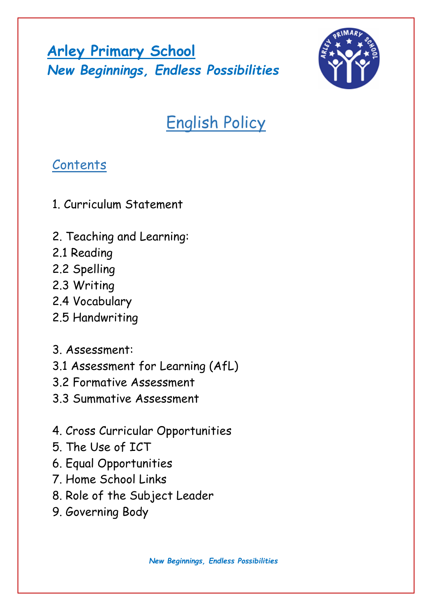**Arley Primary School** *New Beginnings, Endless Possibilities*



# English Policy

## **Contents**

- 1. Curriculum Statement
- 2. Teaching and Learning:
- 2.1 Reading
- 2.2 Spelling
- 2.3 Writing
- 2.4 Vocabulary
- 2.5 Handwriting
- 3. Assessment:
- 3.1 Assessment for Learning (AfL)
- 3.2 Formative Assessment
- 3.3 Summative Assessment
- 4. Cross Curricular Opportunities
- 5. The Use of ICT
- 6. Equal Opportunities
- 7. Home School Links
- 8. Role of the Subject Leader
- 9. Governing Body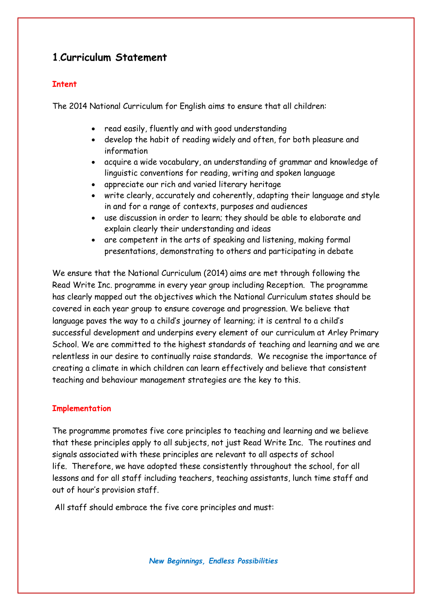## **1**.**Curriculum Statement**

#### **Intent**

The 2014 National Curriculum for English aims to ensure that all children:

- read easily, fluently and with good understanding
- develop the habit of reading widely and often, for both pleasure and information
- acquire a wide vocabulary, an understanding of grammar and knowledge of linguistic conventions for reading, writing and spoken language
- appreciate our rich and varied literary heritage
- write clearly, accurately and coherently, adapting their language and style in and for a range of contexts, purposes and audiences
- use discussion in order to learn; they should be able to elaborate and explain clearly their understanding and ideas
- are competent in the arts of speaking and listening, making formal presentations, demonstrating to others and participating in debate

We ensure that the National Curriculum (2014) aims are met through following the Read Write Inc. programme in every year group including Reception. The programme has clearly mapped out the objectives which the National Curriculum states should be covered in each year group to ensure coverage and progression. We believe that language paves the way to a child's journey of learning; it is central to a child's successful development and underpins every element of our curriculum at Arley Primary School. We are committed to the highest standards of teaching and learning and we are relentless in our desire to continually raise standards. We recognise the importance of creating a climate in which children can learn effectively and believe that consistent teaching and behaviour management strategies are the key to this.

#### **Implementation**

The programme promotes five core principles to teaching and learning and we believe that these principles apply to all subjects, not just Read Write Inc. The routines and signals associated with these principles are relevant to all aspects of school life. Therefore, we have adopted these consistently throughout the school, for all lessons and for all staff including teachers, teaching assistants, lunch time staff and out of hour's provision staff.

All staff should embrace the five core principles and must: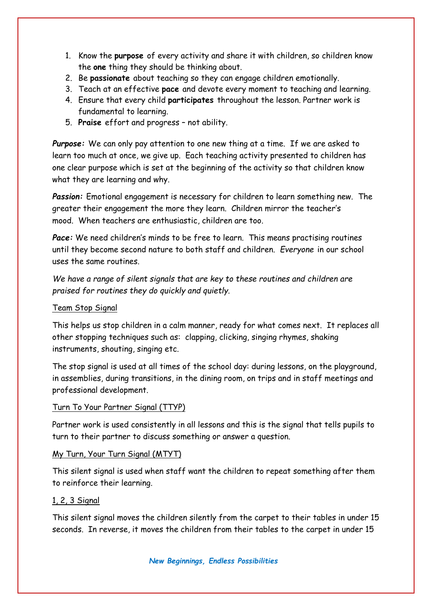- 1. Know the **purpose** of every activity and share it with children, so children know the **one** thing they should be thinking about.
- 2. Be **passionate** about teaching so they can engage children emotionally.
- 3. Teach at an effective **pace** and devote every moment to teaching and learning.
- 4. Ensure that every child **participates** throughout the lesson. Partner work is fundamental to learning.
- 5. **Praise** effort and progress not ability.

*Purpose:* We can only pay attention to one new thing at a time. If we are asked to learn too much at once, we give up. Each teaching activity presented to children has one clear purpose which is set at the beginning of the activity so that children know what they are learning and why.

*Passion:* Emotional engagement is necessary for children to learn something new. The greater their engagement the more they learn. Children mirror the teacher's mood. When teachers are enthusiastic, children are too.

*Pace:* We need children's minds to be free to learn. This means practising routines until they become second nature to both staff and children. *Everyone* in our school uses the same routines.

*We have a range of silent signals that are key to these routines and children are praised for routines they do quickly and quietly.*

#### Team Stop Signal

This helps us stop children in a calm manner, ready for what comes next. It replaces all other stopping techniques such as: clapping, clicking, singing rhymes, shaking instruments, shouting, singing etc.

The stop signal is used at all times of the school day: during lessons, on the playground, in assemblies, during transitions, in the dining room, on trips and in staff meetings and professional development.

#### Turn To Your Partner Signal (TTYP)

Partner work is used consistently in all lessons and this is the signal that tells pupils to turn to their partner to discuss something or answer a question.

#### My Turn, Your Turn Signal (MTYT)

This silent signal is used when staff want the children to repeat something after them to reinforce their learning.

#### 1, 2, 3 Signal

This silent signal moves the children silently from the carpet to their tables in under 15 seconds. In reverse, it moves the children from their tables to the carpet in under 15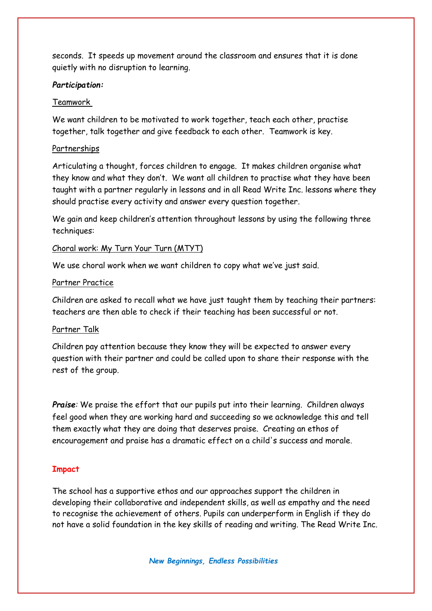seconds. It speeds up movement around the classroom and ensures that it is done quietly with no disruption to learning.

#### *Participation:*

#### Teamwork

We want children to be motivated to work together, teach each other, practise together, talk together and give feedback to each other. Teamwork is key.

#### **Partnerships**

Articulating a thought, forces children to engage. It makes children organise what they know and what they don't. We want all children to practise what they have been taught with a partner regularly in lessons and in all Read Write Inc. lessons where they should practise every activity and answer every question together.

We gain and keep children's attention throughout lessons by using the following three techniques:

#### Choral work: My Turn Your Turn (MTYT)

We use choral work when we want children to copy what we've just said.

#### Partner Practice

Children are asked to recall what we have just taught them by teaching their partners: teachers are then able to check if their teaching has been successful or not.

#### Partner Talk

Children pay attention because they know they will be expected to answer every question with their partner and could be called upon to share their response with the rest of the group.

*Praise*: We praise the effort that our pupils put into their learning. Children always feel good when they are working hard and succeeding so we acknowledge this and tell them exactly what they are doing that deserves praise. Creating an ethos of encouragement and praise has a dramatic effect on a child's success and morale.

#### **Impact**

The school has a supportive ethos and our approaches support the children in developing their collaborative and independent skills, as well as empathy and the need to recognise the achievement of others. Pupils can underperform in English if they do not have a solid foundation in the key skills of reading and writing. The Read Write Inc.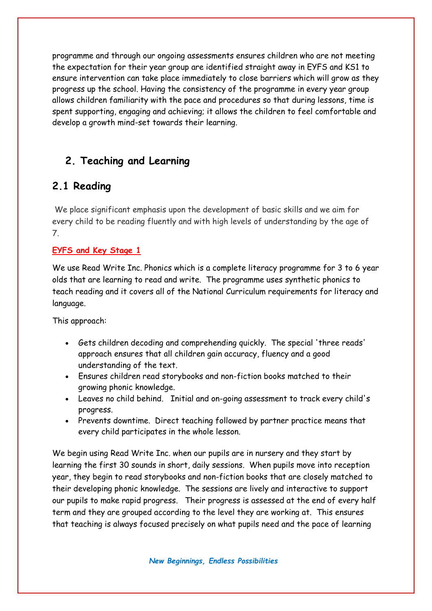programme and through our ongoing assessments ensures children who are not meeting the expectation for their year group are identified straight away in EYFS and KS1 to ensure intervention can take place immediately to close barriers which will grow as they progress up the school. Having the consistency of the programme in every year group allows children familiarity with the pace and procedures so that during lessons, time is spent supporting, engaging and achieving; it allows the children to feel comfortable and develop a growth mind-set towards their learning.

## **2. Teaching and Learning**

## **2.1 Reading**

We place significant emphasis upon the development of basic skills and we aim for every child to be reading fluently and with high levels of understanding by the age of 7.

#### **EYFS and Key Stage 1**

We use Read Write Inc. Phonics which is a complete literacy programme for 3 to 6 year olds that are learning to read and write. The programme uses synthetic phonics to teach reading and it covers all of the National Curriculum requirements for literacy and language.

This approach:

- Gets children decoding and comprehending quickly. The special 'three reads' approach ensures that all children gain accuracy, fluency and a good understanding of the text.
- Ensures children read storybooks and non-fiction books matched to their growing phonic knowledge.
- Leaves no child behind. Initial and on-going assessment to track every child's progress.
- Prevents downtime. Direct teaching followed by partner practice means that every child participates in the whole lesson.

We begin using Read Write Inc. when our pupils are in nursery and they start by learning the first 30 sounds in short, daily sessions. When pupils move into reception year, they begin to read storybooks and non-fiction books that are closely matched to their developing phonic knowledge. The sessions are lively and interactive to support our pupils to make rapid progress. Their progress is assessed at the end of every half term and they are grouped according to the level they are working at. This ensures that teaching is always focused precisely on what pupils need and the pace of learning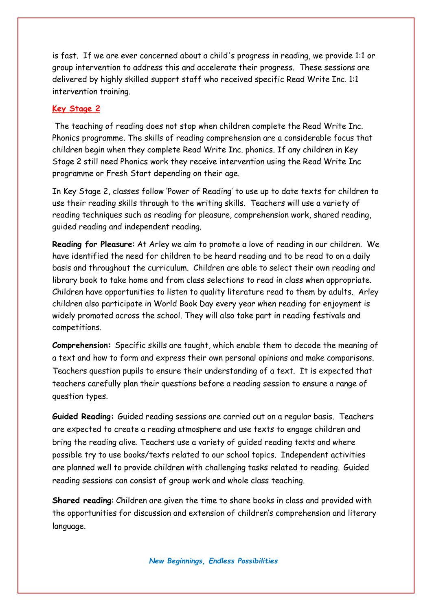is fast. If we are ever concerned about a child's progress in reading, we provide 1:1 or group intervention to address this and accelerate their progress. These sessions are delivered by highly skilled support staff who received specific Read Write Inc. 1:1 intervention training.

#### **Key Stage 2**

The teaching of reading does not stop when children complete the Read Write Inc. Phonics programme. The skills of reading comprehension are a considerable focus that children begin when they complete Read Write Inc. phonics. If any children in Key Stage 2 still need Phonics work they receive intervention using the Read Write Inc programme or Fresh Start depending on their age.

In Key Stage 2, classes follow 'Power of Reading' to use up to date texts for children to use their reading skills through to the writing skills. Teachers will use a variety of reading techniques such as reading for pleasure, comprehension work, shared reading, guided reading and independent reading.

**Reading for Pleasure**: At Arley we aim to promote a love of reading in our children. We have identified the need for children to be heard reading and to be read to on a daily basis and throughout the curriculum. Children are able to select their own reading and library book to take home and from class selections to read in class when appropriate. Children have opportunities to listen to quality literature read to them by adults. Arley children also participate in World Book Day every year when reading for enjoyment is widely promoted across the school. They will also take part in reading festivals and competitions.

**Comprehension:** Specific skills are taught, which enable them to decode the meaning of a text and how to form and express their own personal opinions and make comparisons. Teachers question pupils to ensure their understanding of a text. It is expected that teachers carefully plan their questions before a reading session to ensure a range of question types.

**Guided Reading:** Guided reading sessions are carried out on a regular basis. Teachers are expected to create a reading atmosphere and use texts to engage children and bring the reading alive. Teachers use a variety of guided reading texts and where possible try to use books/texts related to our school topics. Independent activities are planned well to provide children with challenging tasks related to reading. Guided reading sessions can consist of group work and whole class teaching.

**Shared reading**: Children are given the time to share books in class and provided with the opportunities for discussion and extension of children's comprehension and literary language.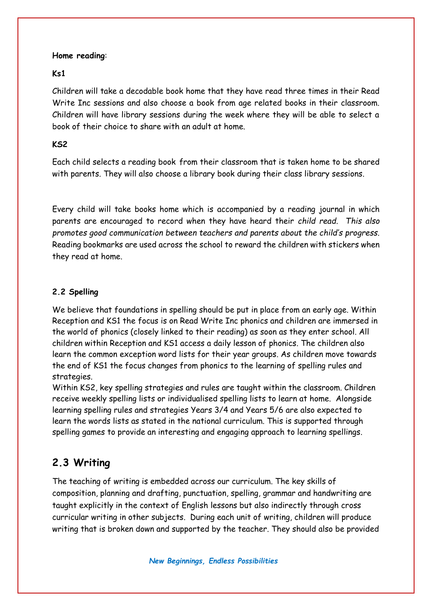#### **Home reading**:

#### **Ks1**

Children will take a decodable book home that they have read three times in their Read Write Inc sessions and also choose a book from age related books in their classroom. Children will have library sessions during the week where they will be able to select a book of their choice to share with an adult at home.

#### **KS2**

Each child selects a reading book from their classroom that is taken home to be shared with parents. They will also choose a library book during their class library sessions.

Every child will take books home which is accompanied by a reading journal in which parents are encouraged to record when they have heard their *child read. This also promotes good communication between teachers and parents about the child's progress.* Reading bookmarks are used across the school to reward the children with stickers when they read at home.

#### **2.2 Spelling**

We believe that foundations in spelling should be put in place from an early age. Within Reception and KS1 the focus is on Read Write Inc phonics and children are immersed in the world of phonics (closely linked to their reading) as soon as they enter school. All children within Reception and KS1 access a daily lesson of phonics. The children also learn the common exception word lists for their year groups. As children move towards the end of KS1 the focus changes from phonics to the learning of spelling rules and strategies.

Within KS2, key spelling strategies and rules are taught within the classroom. Children receive weekly spelling lists or individualised spelling lists to learn at home. Alongside learning spelling rules and strategies Years 3/4 and Years 5/6 are also expected to learn the words lists as stated in the national curriculum. This is supported through spelling games to provide an interesting and engaging approach to learning spellings.

## **2.3 Writing**

The teaching of writing is embedded across our curriculum. The key skills of composition, planning and drafting, punctuation, spelling, grammar and handwriting are taught explicitly in the context of English lessons but also indirectly through cross curricular writing in other subjects. During each unit of writing, children will produce writing that is broken down and supported by the teacher. They should also be provided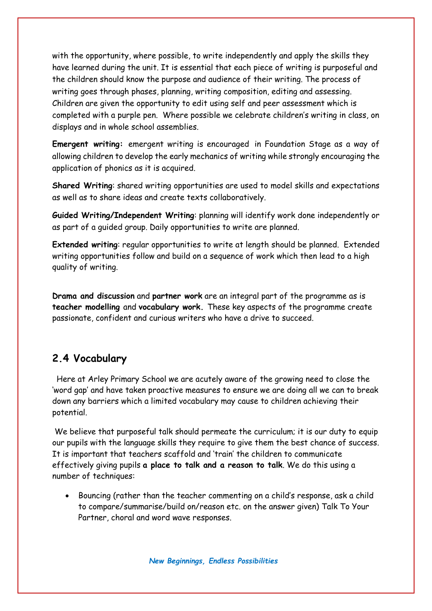with the opportunity, where possible, to write independently and apply the skills they have learned during the unit. It is essential that each piece of writing is purposeful and the children should know the purpose and audience of their writing. The process of writing goes through phases, planning, writing composition, editing and assessing. Children are given the opportunity to edit using self and peer assessment which is completed with a purple pen. Where possible we celebrate children's writing in class, on displays and in whole school assemblies.

**Emergent writing:** emergent writing is encouraged in Foundation Stage as a way of allowing children to develop the early mechanics of writing while strongly encouraging the application of phonics as it is acquired.

**Shared Writing**: shared writing opportunities are used to model skills and expectations as well as to share ideas and create texts collaboratively.

**Guided Writing/Independent Writing**: planning will identify work done independently or as part of a guided group. Daily opportunities to write are planned.

**Extended writing**: regular opportunities to write at length should be planned. Extended writing opportunities follow and build on a sequence of work which then lead to a high quality of writing.

**Drama and discussion** and **partner work** are an integral part of the programme as is **teacher modelling** and **vocabulary work.** These key aspects of the programme create passionate, confident and curious writers who have a drive to succeed.

## **2.4 Vocabulary**

Here at Arley Primary School we are acutely aware of the growing need to close the 'word gap' and have taken proactive measures to ensure we are doing all we can to break down any barriers which a limited vocabulary may cause to children achieving their potential.

We believe that purposeful talk should permeate the curriculum; it is our duty to equip our pupils with the language skills they require to give them the best chance of success. It is important that teachers scaffold and 'train' the children to communicate effectively giving pupils **a place to talk and a reason to talk**. We do this using a number of techniques:

 Bouncing (rather than the teacher commenting on a child's response, ask a child to compare/summarise/build on/reason etc. on the answer given) Talk To Your Partner, choral and word wave responses.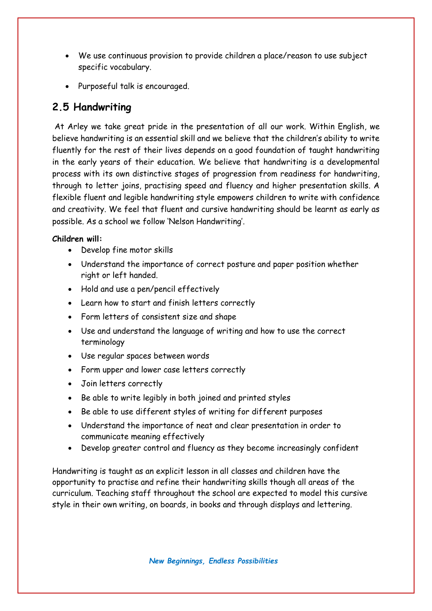- We use continuous provision to provide children a place/reason to use subject specific vocabulary.
- Purposeful talk is encouraged.

## **2.5 Handwriting**

At Arley we take great pride in the presentation of all our work. Within English, we believe handwriting is an essential skill and we believe that the children's ability to write fluently for the rest of their lives depends on a good foundation of taught handwriting in the early years of their education. We believe that handwriting is a developmental process with its own distinctive stages of progression from readiness for handwriting, through to letter joins, practising speed and fluency and higher presentation skills. A flexible fluent and legible handwriting style empowers children to write with confidence and creativity. We feel that fluent and cursive handwriting should be learnt as early as possible. As a school we follow 'Nelson Handwriting'.

#### **Children will:**

- Develop fine motor skills
- Understand the importance of correct posture and paper position whether right or left handed.
- Hold and use a pen/pencil effectively
- Learn how to start and finish letters correctly
- Form letters of consistent size and shape
- Use and understand the language of writing and how to use the correct terminology
- Use regular spaces between words
- Form upper and lower case letters correctly
- Join letters correctly
- Be able to write legibly in both joined and printed styles
- Be able to use different styles of writing for different purposes
- Understand the importance of neat and clear presentation in order to communicate meaning effectively
- Develop greater control and fluency as they become increasingly confident

Handwriting is taught as an explicit lesson in all classes and children have the opportunity to practise and refine their handwriting skills though all areas of the curriculum. Teaching staff throughout the school are expected to model this cursive style in their own writing, on boards, in books and through displays and lettering.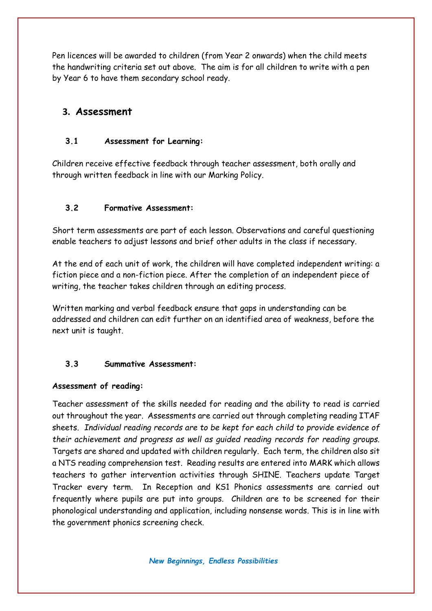Pen licences will be awarded to children (from Year 2 onwards) when the child meets the handwriting criteria set out above. The aim is for all children to write with a pen by Year 6 to have them secondary school ready.

### **3. Assessment**

#### **3.1 Assessment for Learning:**

Children receive effective feedback through teacher assessment, both orally and through written feedback in line with our Marking Policy.

#### **3.2 Formative Assessment:**

Short term assessments are part of each lesson. Observations and careful questioning enable teachers to adjust lessons and brief other adults in the class if necessary.

At the end of each unit of work, the children will have completed independent writing: a fiction piece and a non-fiction piece. After the completion of an independent piece of writing, the teacher takes children through an editing process.

Written marking and verbal feedback ensure that gaps in understanding can be addressed and children can edit further on an identified area of weakness, before the next unit is taught.

#### **3.3 Summative Assessment:**

#### **Assessment of reading:**

Teacher assessment of the skills needed for reading and the ability to read is carried out throughout the year. Assessments are carried out through completing reading ITAF sheets. *Individual reading records are to be kept for each child to provide evidence of their achievement and progress as well as guided reading records for reading groups.*  Targets are shared and updated with children regularly. Each term, the children also sit a NTS reading comprehension test.Reading results are entered into MARK which allows teachers to gather intervention activities through SHINE. Teachers update Target Tracker every term. In Reception and KS1 Phonics assessments are carried out frequently where pupils are put into groups. Children are to be screened for their phonological understanding and application, including nonsense words. This is in line with the government phonics screening check.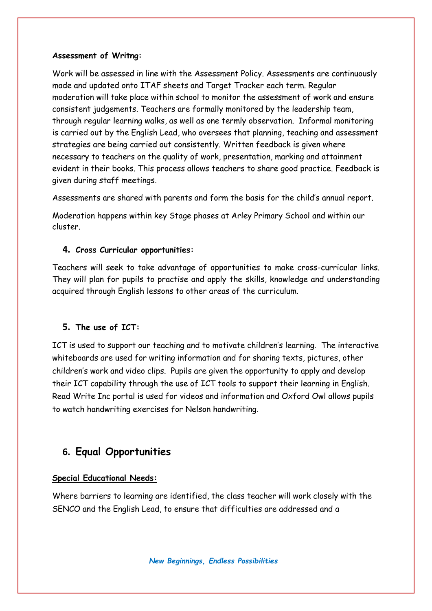#### **Assessment of Writng:**

Work will be assessed in line with the Assessment Policy. Assessments are continuously made and updated onto ITAF sheets and Target Tracker each term. Regular moderation will take place within school to monitor the assessment of work and ensure consistent judgements. Teachers are formally monitored by the leadership team, through regular learning walks, as well as one termly observation. Informal monitoring is carried out by the English Lead, who oversees that planning, teaching and assessment strategies are being carried out consistently. Written feedback is given where necessary to teachers on the quality of work, presentation, marking and attainment evident in their books. This process allows teachers to share good practice. Feedback is given during staff meetings.

Assessments are shared with parents and form the basis for the child's annual report.

Moderation happens within key Stage phases at Arley Primary School and within our cluster.

#### **4. Cross Curricular opportunities:**

Teachers will seek to take advantage of opportunities to make cross-curricular links. They will plan for pupils to practise and apply the skills, knowledge and understanding acquired through English lessons to other areas of the curriculum.

#### **5. The use of ICT:**

ICT is used to support our teaching and to motivate children's learning. The interactive whiteboards are used for writing information and for sharing texts, pictures, other children's work and video clips. Pupils are given the opportunity to apply and develop their ICT capability through the use of ICT tools to support their learning in English. Read Write Inc portal is used for videos and information and Oxford Owl allows pupils to watch handwriting exercises for Nelson handwriting.

## **6. Equal Opportunities**

#### **Special Educational Needs:**

Where barriers to learning are identified, the class teacher will work closely with the SENCO and the English Lead, to ensure that difficulties are addressed and a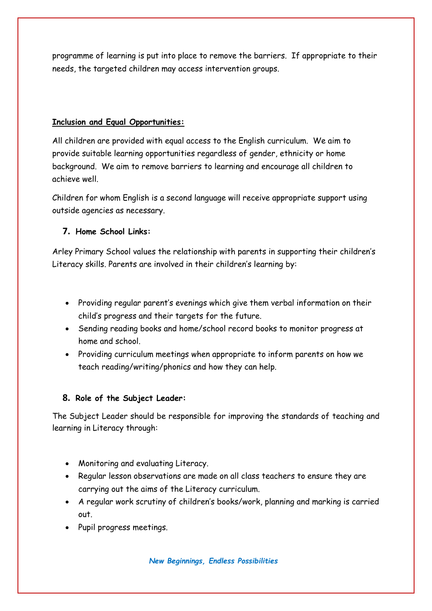programme of learning is put into place to remove the barriers. If appropriate to their needs, the targeted children may access intervention groups.

#### **Inclusion and Equal Opportunities:**

All children are provided with equal access to the English curriculum. We aim to provide suitable learning opportunities regardless of gender, ethnicity or home background. We aim to remove barriers to learning and encourage all children to achieve well.

Children for whom English is a second language will receive appropriate support using outside agencies as necessary.

#### **7. Home School Links:**

Arley Primary School values the relationship with parents in supporting their children's Literacy skills. Parents are involved in their children's learning by:

- Providing regular parent's evenings which give them verbal information on their child's progress and their targets for the future.
- Sending reading books and home/school record books to monitor progress at home and school.
- Providing curriculum meetings when appropriate to inform parents on how we teach reading/writing/phonics and how they can help.

#### **8. Role of the Subject Leader:**

The Subject Leader should be responsible for improving the standards of teaching and learning in Literacy through:

- Monitoring and evaluating Literacy.
- Regular lesson observations are made on all class teachers to ensure they are carrying out the aims of the Literacy curriculum.
- A regular work scrutiny of children's books/work, planning and marking is carried out.
- Pupil progress meetings.